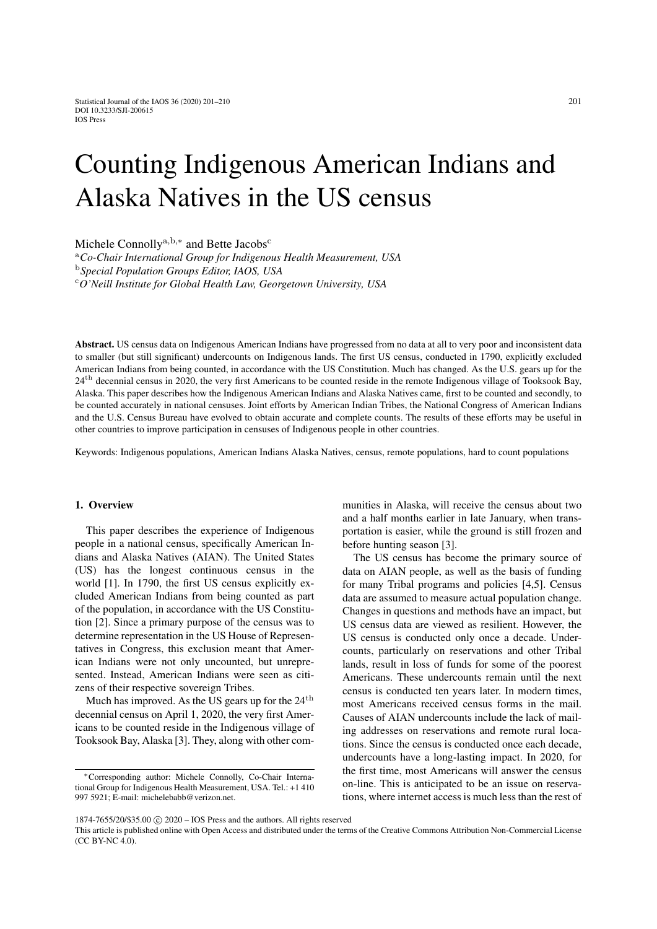# Counting Indigenous American Indians and Alaska Natives in the US census

Michele Connolly<sup>a,b,\*</sup> and Bette Jacobs<sup>c</sup>

<sup>a</sup>*Co-Chair International Group for Indigenous Health Measurement, USA* <sup>b</sup>*Special Population Groups Editor, IAOS, USA* <sup>c</sup>*O'Neill Institute for Global Health Law, Georgetown University, USA*

Abstract. US census data on Indigenous American Indians have progressed from no data at all to very poor and inconsistent data to smaller (but still significant) undercounts on Indigenous lands. The first US census, conducted in 1790, explicitly excluded American Indians from being counted, in accordance with the US Constitution. Much has changed. As the U.S. gears up for the 24<sup>th</sup> decennial census in 2020, the very first Americans to be counted reside in the remote Indigenous village of Tooksook Bay, Alaska. This paper describes how the Indigenous American Indians and Alaska Natives came, first to be counted and secondly, to be counted accurately in national censuses. Joint efforts by American Indian Tribes, the National Congress of American Indians and the U.S. Census Bureau have evolved to obtain accurate and complete counts. The results of these efforts may be useful in other countries to improve participation in censuses of Indigenous people in other countries.

Keywords: Indigenous populations, American Indians Alaska Natives, census, remote populations, hard to count populations

# 1. Overview

This paper describes the experience of Indigenous people in a national census, specifically American Indians and Alaska Natives (AIAN). The United States (US) has the longest continuous census in the world [\[1\]](#page-8-0). In 1790, the first US census explicitly excluded American Indians from being counted as part of the population, in accordance with the US Constitution [\[2\]](#page-8-1). Since a primary purpose of the census was to determine representation in the US House of Representatives in Congress, this exclusion meant that American Indians were not only uncounted, but unrepresented. Instead, American Indians were seen as citizens of their respective sovereign Tribes.

Much has improved. As the US gears up for the  $24<sup>th</sup>$ decennial census on April 1, 2020, the very first Americans to be counted reside in the Indigenous village of Tooksook Bay, Alaska [\[3\]](#page-8-2). They, along with other communities in Alaska, will receive the census about two and a half months earlier in late January, when transportation is easier, while the ground is still frozen and before hunting season [\[3\]](#page-8-2).

The US census has become the primary source of data on AIAN people, as well as the basis of funding for many Tribal programs and policies [\[4](#page-8-3)[,5\]](#page-8-4). Census data are assumed to measure actual population change. Changes in questions and methods have an impact, but US census data are viewed as resilient. However, the US census is conducted only once a decade. Undercounts, particularly on reservations and other Tribal lands, result in loss of funds for some of the poorest Americans. These undercounts remain until the next census is conducted ten years later. In modern times, most Americans received census forms in the mail. Causes of AIAN undercounts include the lack of mailing addresses on reservations and remote rural locations. Since the census is conducted once each decade, undercounts have a long-lasting impact. In 2020, for the first time, most Americans will answer the census on-line. This is anticipated to be an issue on reservations, where internet access is much less than the rest of

<sup>∗</sup>Corresponding author: Michele Connolly, Co-Chair International Group for Indigenous Health Measurement, USA. Tel.: +1 410 997 5921; E-mail: michelebabb@verizon.net.

<sup>1874-7655/20/\$35.00 © 2020 -</sup> IOS Press and the authors. All rights reserved

This article is published online with Open Access and distributed under the terms of the Creative Commons Attribution Non-Commercial License (CC BY-NC 4.0).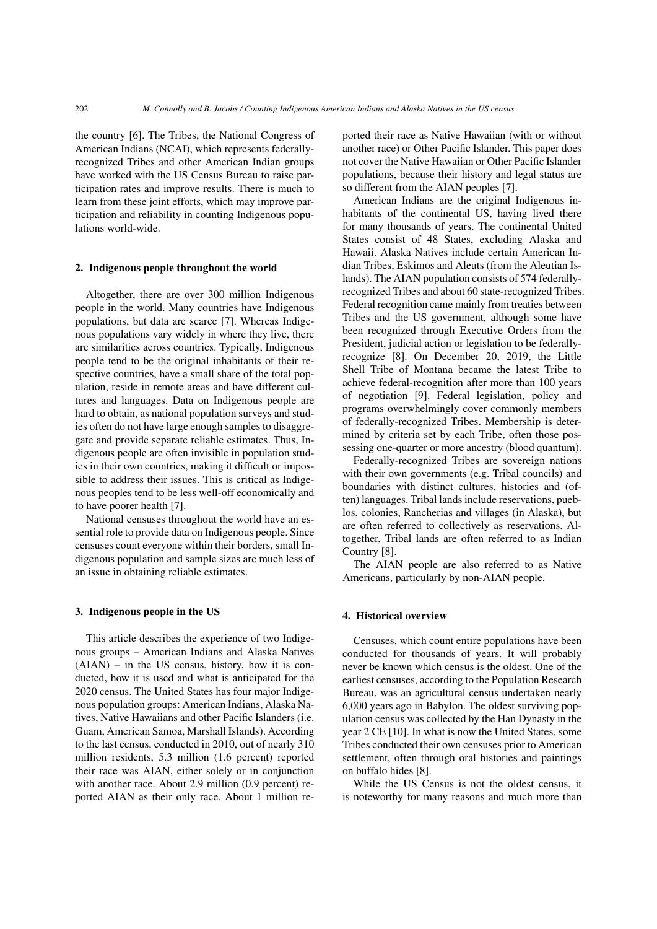the country [\[6\]](#page-8-5). The Tribes, the National Congress of American Indians (NCAI), which represents federallyrecognized Tribes and other American Indian groups have worked with the US Census Bureau to raise participation rates and improve results. There is much to learn from these joint efforts, which may improve participation and reliability in counting Indigenous populations world-wide.

## 2. Indigenous people throughout the world

Altogether, there are over 300 million Indigenous people in the world. Many countries have Indigenous populations, but data are scarce [\[7\]](#page-8-6). Whereas Indigenous populations vary widely in where they live, there are similarities across countries. Typically, Indigenous people tend to be the original inhabitants of their respective countries, have a small share of the total population, reside in remote areas and have different cultures and languages. Data on Indigenous people are hard to obtain, as national population surveys and studies often do not have large enough samples to disaggregate and provide separate reliable estimates. Thus, Indigenous people are often invisible in population studies in their own countries, making it difficult or impossible to address their issues. This is critical as Indigenous peoples tend to be less well-off economically and to have poorer health [\[7\]](#page-8-6).

National censuses throughout the world have an essential role to provide data on Indigenous people. Since censuses count everyone within their borders, small Indigenous population and sample sizes are much less of an issue in obtaining reliable estimates.

## 3. Indigenous people in the US

This article describes the experience of two Indigenous groups – American Indians and Alaska Natives  $(AIAN)$  – in the US census, history, how it is conducted, how it is used and what is anticipated for the 2020 census. The United States has four major Indigenous population groups: American Indians, Alaska Natives, Native Hawaiians and other Pacific Islanders (i.e. Guam, American Samoa, Marshall Islands). According to the last census, conducted in 2010, out of nearly 310 million residents, 5.3 million (1.6 percent) reported their race was AIAN, either solely or in conjunction with another race. About 2.9 million (0.9 percent) reported AIAN as their only race. About 1 million reported their race as Native Hawaiian (with or without another race) or Other Pacific Islander. This paper does not cover the Native Hawaiian or Other Pacific Islander populations, because their history and legal status are so different from the AIAN peoples [\[7\]](#page-8-6).

American Indians are the original Indigenous inhabitants of the continental US, having lived there for many thousands of years. The continental United States consist of 48 States, excluding Alaska and Hawaii. Alaska Natives include certain American Indian Tribes, Eskimos and Aleuts (from the Aleutian Islands). The AIAN population consists of 574 federallyrecognized Tribes and about 60 state-recognized Tribes. Federal recognition came mainly from treaties between Tribes and the US government, although some have been recognized through Executive Orders from the President, judicial action or legislation to be federallyrecognize [\[8\]](#page-8-7). On December 20, 2019, the Little Shell Tribe of Montana became the latest Tribe to achieve federal-recognition after more than 100 years of negotiation [\[9\]](#page-8-8). Federal legislation, policy and programs overwhelmingly cover commonly members of federally-recognized Tribes. Membership is determined by criteria set by each Tribe, often those possessing one-quarter or more ancestry (blood quantum).

Federally-recognized Tribes are sovereign nations with their own governments (e.g. Tribal councils) and boundaries with distinct cultures, histories and (often) languages. Tribal lands include reservations, pueblos, colonies, Rancherias and villages (in Alaska), but are often referred to collectively as reservations. Altogether, Tribal lands are often referred to as Indian Country [\[8\]](#page-8-7).

The AIAN people are also referred to as Native Americans, particularly by non-AIAN people.

# 4. Historical overview

Censuses, which count entire populations have been conducted for thousands of years. It will probably never be known which census is the oldest. One of the earliest censuses, according to the Population Research Bureau, was an agricultural census undertaken nearly 6,000 years ago in Babylon. The oldest surviving population census was collected by the Han Dynasty in the year 2 CE [\[10\]](#page-8-9). In what is now the United States, some Tribes conducted their own censuses prior to American settlement, often through oral histories and paintings on buffalo hides [\[8\]](#page-8-7).

While the US Census is not the oldest census, it is noteworthy for many reasons and much more than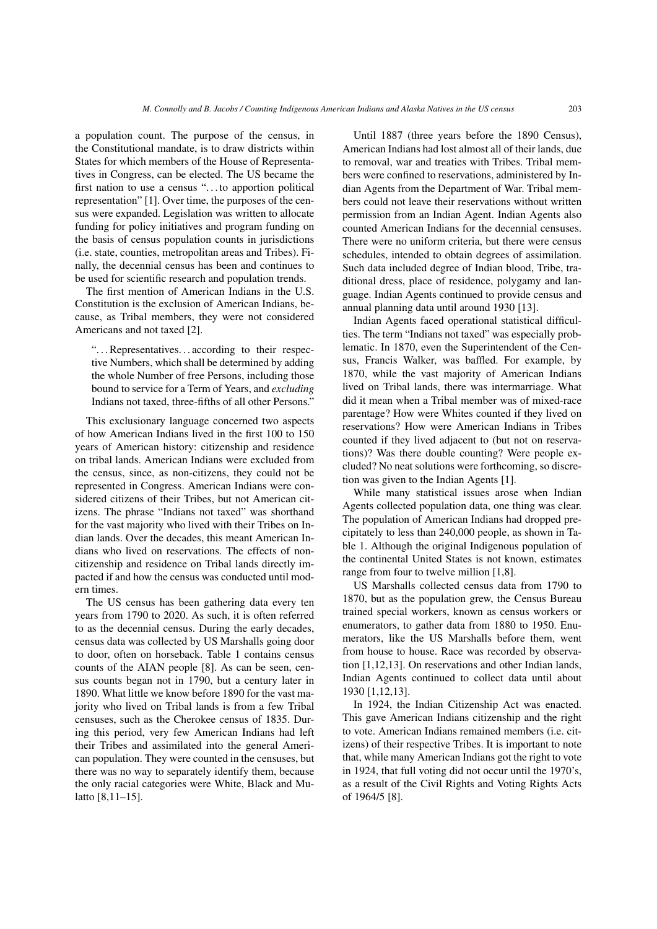a population count. The purpose of the census, in the Constitutional mandate, is to draw districts within States for which members of the House of Representatives in Congress, can be elected. The US became the first nation to use a census ". . . to apportion political representation" [\[1\]](#page-8-0). Over time, the purposes of the census were expanded. Legislation was written to allocate funding for policy initiatives and program funding on the basis of census population counts in jurisdictions (i.e. state, counties, metropolitan areas and Tribes). Finally, the decennial census has been and continues to be used for scientific research and population trends.

The first mention of American Indians in the U.S. Constitution is the exclusion of American Indians, because, as Tribal members, they were not considered Americans and not taxed [\[2\]](#page-8-1).

"...Representatives...according to their respective Numbers, which shall be determined by adding the whole Number of free Persons, including those bound to service for a Term of Years, and *excluding* Indians not taxed, three-fifths of all other Persons."

This exclusionary language concerned two aspects of how American Indians lived in the first 100 to 150 years of American history: citizenship and residence on tribal lands. American Indians were excluded from the census, since, as non-citizens, they could not be represented in Congress. American Indians were considered citizens of their Tribes, but not American citizens. The phrase "Indians not taxed" was shorthand for the vast majority who lived with their Tribes on Indian lands. Over the decades, this meant American Indians who lived on reservations. The effects of noncitizenship and residence on Tribal lands directly impacted if and how the census was conducted until modern times.

The US census has been gathering data every ten years from 1790 to 2020. As such, it is often referred to as the decennial census. During the early decades, census data was collected by US Marshalls going door to door, often on horseback. Table [1](#page-3-0) contains census counts of the AIAN people [\[8\]](#page-8-7). As can be seen, census counts began not in 1790, but a century later in 1890. What little we know before 1890 for the vast majority who lived on Tribal lands is from a few Tribal censuses, such as the Cherokee census of 1835. During this period, very few American Indians had left their Tribes and assimilated into the general American population. They were counted in the censuses, but there was no way to separately identify them, because the only racial categories were White, Black and Mulatto [\[8,](#page-8-7)[11–](#page-8-10)[15\]](#page-8-11).

Until 1887 (three years before the 1890 Census), American Indians had lost almost all of their lands, due to removal, war and treaties with Tribes. Tribal members were confined to reservations, administered by Indian Agents from the Department of War. Tribal members could not leave their reservations without written permission from an Indian Agent. Indian Agents also counted American Indians for the decennial censuses. There were no uniform criteria, but there were census schedules, intended to obtain degrees of assimilation. Such data included degree of Indian blood, Tribe, traditional dress, place of residence, polygamy and language. Indian Agents continued to provide census and annual planning data until around 1930 [\[13\]](#page-8-12).

Indian Agents faced operational statistical difficulties. The term "Indians not taxed" was especially problematic. In 1870, even the Superintendent of the Census, Francis Walker, was baffled. For example, by 1870, while the vast majority of American Indians lived on Tribal lands, there was intermarriage. What did it mean when a Tribal member was of mixed-race parentage? How were Whites counted if they lived on reservations? How were American Indians in Tribes counted if they lived adjacent to (but not on reservations)? Was there double counting? Were people excluded? No neat solutions were forthcoming, so discretion was given to the Indian Agents [\[1\]](#page-8-0).

While many statistical issues arose when Indian Agents collected population data, one thing was clear. The population of American Indians had dropped precipitately to less than 240,000 people, as shown in Table [1.](#page-3-0) Although the original Indigenous population of the continental United States is not known, estimates range from four to twelve million [\[1,](#page-8-0)[8\]](#page-8-7).

US Marshalls collected census data from 1790 to 1870, but as the population grew, the Census Bureau trained special workers, known as census workers or enumerators, to gather data from 1880 to 1950. Enumerators, like the US Marshalls before them, went from house to house. Race was recorded by observation [\[1](#page-8-0)[,12](#page-8-13)[,13\]](#page-8-12). On reservations and other Indian lands, Indian Agents continued to collect data until about 1930 [\[1,](#page-8-0)[12,](#page-8-13)[13\]](#page-8-12).

In 1924, the Indian Citizenship Act was enacted. This gave American Indians citizenship and the right to vote. American Indians remained members (i.e. citizens) of their respective Tribes. It is important to note that, while many American Indians got the right to vote in 1924, that full voting did not occur until the 1970's, as a result of the Civil Rights and Voting Rights Acts of 1964/5 [\[8\]](#page-8-7).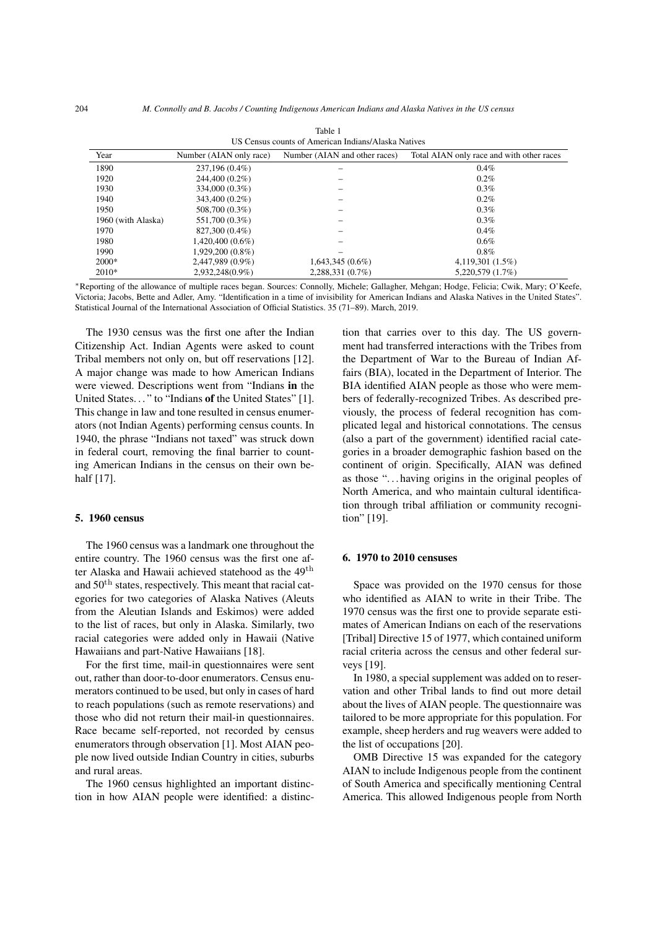<span id="page-3-0"></span>

| US Census counts of American Indians/Alaska Natives |                         |                               |                                           |  |  |  |  |  |  |
|-----------------------------------------------------|-------------------------|-------------------------------|-------------------------------------------|--|--|--|--|--|--|
| Year                                                | Number (AIAN only race) | Number (AIAN and other races) | Total AIAN only race and with other races |  |  |  |  |  |  |
| 1890                                                | 237,196 (0.4%)          |                               | $0.4\%$                                   |  |  |  |  |  |  |
| 1920                                                | 244,400 (0.2%)          |                               | $0.2\%$                                   |  |  |  |  |  |  |
| 1930                                                | 334,000 (0.3%)          |                               | 0.3%                                      |  |  |  |  |  |  |
| 1940                                                | 343,400 (0.2%)          |                               | $0.2\%$                                   |  |  |  |  |  |  |
| 1950                                                | 508,700 (0.3%)          |                               | 0.3%                                      |  |  |  |  |  |  |
| 1960 (with Alaska)                                  | 551,700 (0.3%)          |                               | 0.3%                                      |  |  |  |  |  |  |
| 1970                                                | 827,300 (0.4%)          |                               | $0.4\%$                                   |  |  |  |  |  |  |
| 1980                                                | 1,420,400 (0.6%)        |                               | 0.6%                                      |  |  |  |  |  |  |
| 1990                                                | 1,929,200 (0.8%)        |                               | $0.8\%$                                   |  |  |  |  |  |  |
| $2000*$                                             | 2,447,989 (0.9%)        | $1,643,345(0.6\%)$            | 4,119,301(1.5%)                           |  |  |  |  |  |  |
| $2010*$                                             | 2.932.248(0.9%)         | $2.288.331(0.7\%)$            | 5.220.579 (1.7%)                          |  |  |  |  |  |  |

<sup>∗</sup>Reporting of the allowance of multiple races began. Sources: Connolly, Michele; Gallagher, Mehgan; Hodge, Felicia; Cwik, Mary; O'Keefe,

Victoria; Jacobs, Bette and Adler, Amy. "Identification in a time of invisibility for American Indians and Alaska Natives in the United States". Statistical Journal of the International Association of Official Statistics. 35 (71–89). March, 2019.

The 1930 census was the first one after the Indian Citizenship Act. Indian Agents were asked to count Tribal members not only on, but off reservations [\[12\]](#page-8-13). A major change was made to how American Indians were viewed. Descriptions went from "Indians in the United States..." to "Indians of the United States" [\[1\]](#page-8-0). This change in law and tone resulted in census enumerators (not Indian Agents) performing census counts. In 1940, the phrase "Indians not taxed" was struck down in federal court, removing the final barrier to counting American Indians in the census on their own behalf [\[17\]](#page-8-14).

## 5. 1960 census

The 1960 census was a landmark one throughout the entire country. The 1960 census was the first one after Alaska and Hawaii achieved statehood as the 49<sup>th</sup> and 50th states, respectively. This meant that racial categories for two categories of Alaska Natives (Aleuts from the Aleutian Islands and Eskimos) were added to the list of races, but only in Alaska. Similarly, two racial categories were added only in Hawaii (Native Hawaiians and part-Native Hawaiians [\[18\]](#page-8-15).

For the first time, mail-in questionnaires were sent out, rather than door-to-door enumerators. Census enumerators continued to be used, but only in cases of hard to reach populations (such as remote reservations) and those who did not return their mail-in questionnaires. Race became self-reported, not recorded by census enumerators through observation [\[1\]](#page-8-0). Most AIAN people now lived outside Indian Country in cities, suburbs and rural areas.

The 1960 census highlighted an important distinction in how AIAN people were identified: a distinction that carries over to this day. The US government had transferred interactions with the Tribes from the Department of War to the Bureau of Indian Affairs (BIA), located in the Department of Interior. The BIA identified AIAN people as those who were members of federally-recognized Tribes. As described previously, the process of federal recognition has complicated legal and historical connotations. The census (also a part of the government) identified racial categories in a broader demographic fashion based on the continent of origin. Specifically, AIAN was defined as those ". . . having origins in the original peoples of North America, and who maintain cultural identification through tribal affiliation or community recognition" [\[19\]](#page-8-16).

#### 6. 1970 to 2010 censuses

Space was provided on the 1970 census for those who identified as AIAN to write in their Tribe. The 1970 census was the first one to provide separate estimates of American Indians on each of the reservations [Tribal] Directive 15 of 1977, which contained uniform racial criteria across the census and other federal surveys [\[19\]](#page-8-16).

In 1980, a special supplement was added on to reservation and other Tribal lands to find out more detail about the lives of AIAN people. The questionnaire was tailored to be more appropriate for this population. For example, sheep herders and rug weavers were added to the list of occupations [\[20\]](#page-8-17).

OMB Directive 15 was expanded for the category AIAN to include Indigenous people from the continent of South America and specifically mentioning Central America. This allowed Indigenous people from North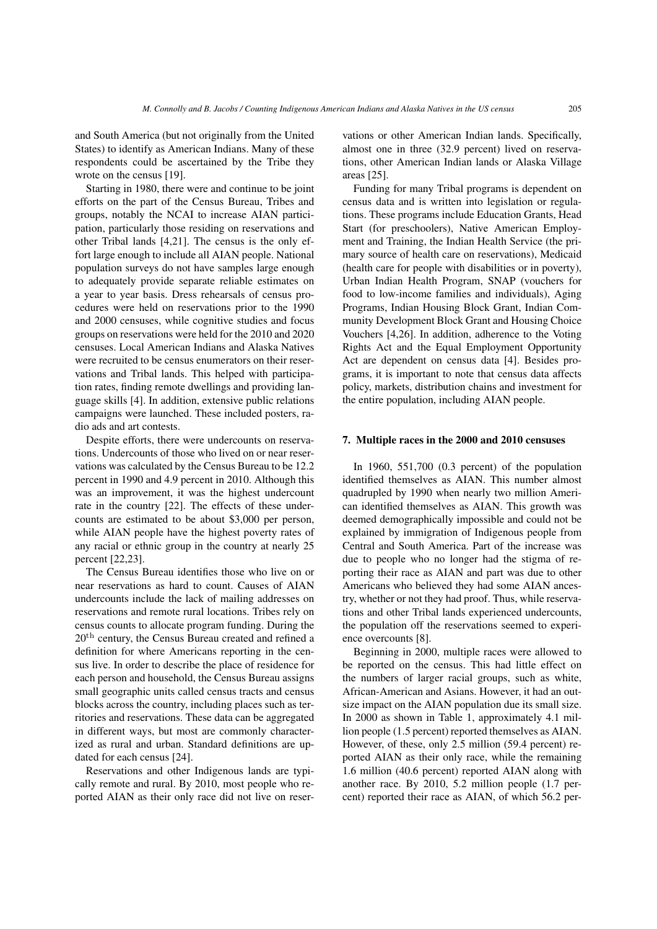and South America (but not originally from the United States) to identify as American Indians. Many of these respondents could be ascertained by the Tribe they wrote on the census [\[19\]](#page-8-16).

Starting in 1980, there were and continue to be joint efforts on the part of the Census Bureau, Tribes and groups, notably the NCAI to increase AIAN participation, particularly those residing on reservations and other Tribal lands [\[4,](#page-8-3)[21\]](#page-8-18). The census is the only effort large enough to include all AIAN people. National population surveys do not have samples large enough to adequately provide separate reliable estimates on a year to year basis. Dress rehearsals of census procedures were held on reservations prior to the 1990 and 2000 censuses, while cognitive studies and focus groups on reservations were held for the 2010 and 2020 censuses. Local American Indians and Alaska Natives were recruited to be census enumerators on their reservations and Tribal lands. This helped with participation rates, finding remote dwellings and providing language skills [\[4\]](#page-8-3). In addition, extensive public relations campaigns were launched. These included posters, radio ads and art contests.

Despite efforts, there were undercounts on reservations. Undercounts of those who lived on or near reservations was calculated by the Census Bureau to be 12.2 percent in 1990 and 4.9 percent in 2010. Although this was an improvement, it was the highest undercount rate in the country [\[22\]](#page-8-19). The effects of these undercounts are estimated to be about \$3,000 per person, while AIAN people have the highest poverty rates of any racial or ethnic group in the country at nearly 25 percent [\[22,](#page-8-19)[23\]](#page-8-20).

The Census Bureau identifies those who live on or near reservations as hard to count. Causes of AIAN undercounts include the lack of mailing addresses on reservations and remote rural locations. Tribes rely on census counts to allocate program funding. During the  $20<sup>th</sup>$  century, the Census Bureau created and refined a definition for where Americans reporting in the census live. In order to describe the place of residence for each person and household, the Census Bureau assigns small geographic units called census tracts and census blocks across the country, including places such as territories and reservations. These data can be aggregated in different ways, but most are commonly characterized as rural and urban. Standard definitions are updated for each census [\[24\]](#page-8-21).

Reservations and other Indigenous lands are typically remote and rural. By 2010, most people who reported AIAN as their only race did not live on reservations or other American Indian lands. Specifically, almost one in three (32.9 percent) lived on reservations, other American Indian lands or Alaska Village areas [\[25\]](#page-8-22).

Funding for many Tribal programs is dependent on census data and is written into legislation or regulations. These programs include Education Grants, Head Start (for preschoolers), Native American Employment and Training, the Indian Health Service (the primary source of health care on reservations), Medicaid (health care for people with disabilities or in poverty), Urban Indian Health Program, SNAP (vouchers for food to low-income families and individuals), Aging Programs, Indian Housing Block Grant, Indian Community Development Block Grant and Housing Choice Vouchers [\[4](#page-8-3)[,26\]](#page-8-23). In addition, adherence to the Voting Rights Act and the Equal Employment Opportunity Act are dependent on census data [\[4\]](#page-8-3). Besides programs, it is important to note that census data affects policy, markets, distribution chains and investment for the entire population, including AIAN people.

# 7. Multiple races in the 2000 and 2010 censuses

In 1960, 551,700 (0.3 percent) of the population identified themselves as AIAN. This number almost quadrupled by 1990 when nearly two million American identified themselves as AIAN. This growth was deemed demographically impossible and could not be explained by immigration of Indigenous people from Central and South America. Part of the increase was due to people who no longer had the stigma of reporting their race as AIAN and part was due to other Americans who believed they had some AIAN ancestry, whether or not they had proof. Thus, while reservations and other Tribal lands experienced undercounts, the population off the reservations seemed to experience overcounts [\[8\]](#page-8-7).

Beginning in 2000, multiple races were allowed to be reported on the census. This had little effect on the numbers of larger racial groups, such as white, African-American and Asians. However, it had an outsize impact on the AIAN population due its small size. In 2000 as shown in Table [1,](#page-3-0) approximately 4.1 million people (1.5 percent) reported themselves as AIAN. However, of these, only 2.5 million (59.4 percent) reported AIAN as their only race, while the remaining 1.6 million (40.6 percent) reported AIAN along with another race. By 2010, 5.2 million people (1.7 percent) reported their race as AIAN, of which 56.2 per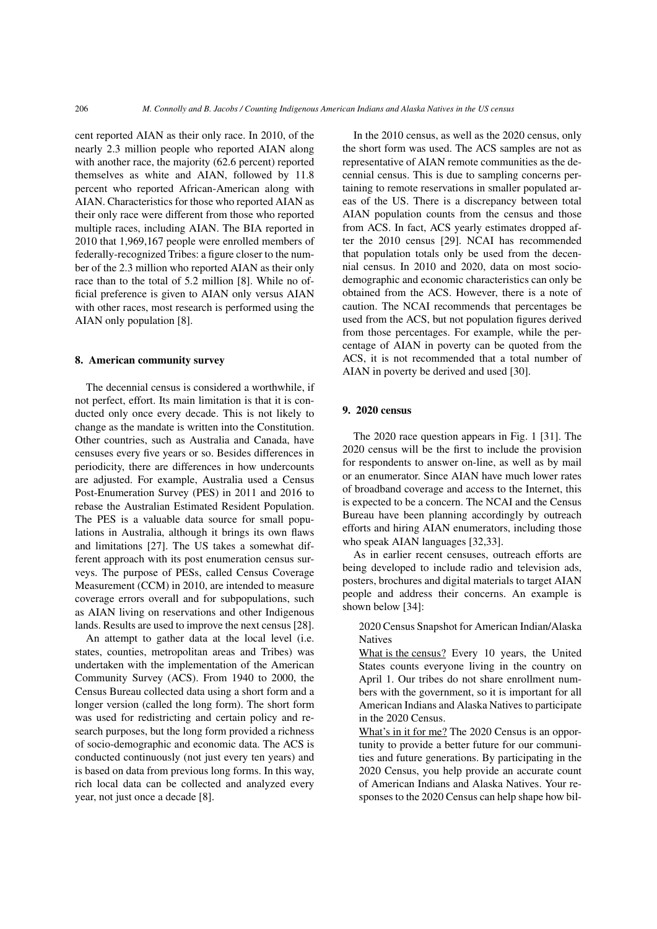cent reported AIAN as their only race. In 2010, of the nearly 2.3 million people who reported AIAN along with another race, the majority (62.6 percent) reported themselves as white and AIAN, followed by 11.8 percent who reported African-American along with AIAN. Characteristics for those who reported AIAN as their only race were different from those who reported multiple races, including AIAN. The BIA reported in 2010 that 1,969,167 people were enrolled members of federally-recognized Tribes: a figure closer to the number of the 2.3 million who reported AIAN as their only race than to the total of 5.2 million [\[8\]](#page-8-7). While no official preference is given to AIAN only versus AIAN with other races, most research is performed using the AIAN only population [\[8\]](#page-8-7).

# 8. American community survey

The decennial census is considered a worthwhile, if not perfect, effort. Its main limitation is that it is conducted only once every decade. This is not likely to change as the mandate is written into the Constitution. Other countries, such as Australia and Canada, have censuses every five years or so. Besides differences in periodicity, there are differences in how undercounts are adjusted. For example, Australia used a Census Post-Enumeration Survey (PES) in 2011 and 2016 to rebase the Australian Estimated Resident Population. The PES is a valuable data source for small populations in Australia, although it brings its own flaws and limitations [\[27\]](#page-8-24). The US takes a somewhat different approach with its post enumeration census surveys. The purpose of PESs, called Census Coverage Measurement (CCM) in 2010, are intended to measure coverage errors overall and for subpopulations, such as AIAN living on reservations and other Indigenous lands. Results are used to improve the next census [\[28\]](#page-8-25).

An attempt to gather data at the local level (i.e. states, counties, metropolitan areas and Tribes) was undertaken with the implementation of the American Community Survey (ACS). From 1940 to 2000, the Census Bureau collected data using a short form and a longer version (called the long form). The short form was used for redistricting and certain policy and research purposes, but the long form provided a richness of socio-demographic and economic data. The ACS is conducted continuously (not just every ten years) and is based on data from previous long forms. In this way, rich local data can be collected and analyzed every year, not just once a decade [\[8\]](#page-8-7).

In the 2010 census, as well as the 2020 census, only the short form was used. The ACS samples are not as representative of AIAN remote communities as the decennial census. This is due to sampling concerns pertaining to remote reservations in smaller populated areas of the US. There is a discrepancy between total AIAN population counts from the census and those from ACS. In fact, ACS yearly estimates dropped after the 2010 census [\[29\]](#page-8-26). NCAI has recommended that population totals only be used from the decennial census. In 2010 and 2020, data on most sociodemographic and economic characteristics can only be obtained from the ACS. However, there is a note of caution. The NCAI recommends that percentages be used from the ACS, but not population figures derived from those percentages. For example, while the percentage of AIAN in poverty can be quoted from the ACS, it is not recommended that a total number of AIAN in poverty be derived and used [\[30\]](#page-8-27).

# 9. 2020 census

The 2020 race question appears in Fig. [1](#page-6-0) [\[31\]](#page-8-28). The 2020 census will be the first to include the provision for respondents to answer on-line, as well as by mail or an enumerator. Since AIAN have much lower rates of broadband coverage and access to the Internet, this is expected to be a concern. The NCAI and the Census Bureau have been planning accordingly by outreach efforts and hiring AIAN enumerators, including those who speak AIAN languages [\[32,](#page-8-29)[33\]](#page-8-30).

As in earlier recent censuses, outreach efforts are being developed to include radio and television ads, posters, brochures and digital materials to target AIAN people and address their concerns. An example is shown below [\[34\]](#page-8-31):

2020 Census Snapshot for American Indian/Alaska Natives

What is the census? Every 10 years, the United States counts everyone living in the country on April 1. Our tribes do not share enrollment numbers with the government, so it is important for all American Indians and Alaska Natives to participate in the 2020 Census.

What's in it for me? The 2020 Census is an opportunity to provide a better future for our communities and future generations. By participating in the 2020 Census, you help provide an accurate count of American Indians and Alaska Natives. Your responses to the 2020 Census can help shape how bil-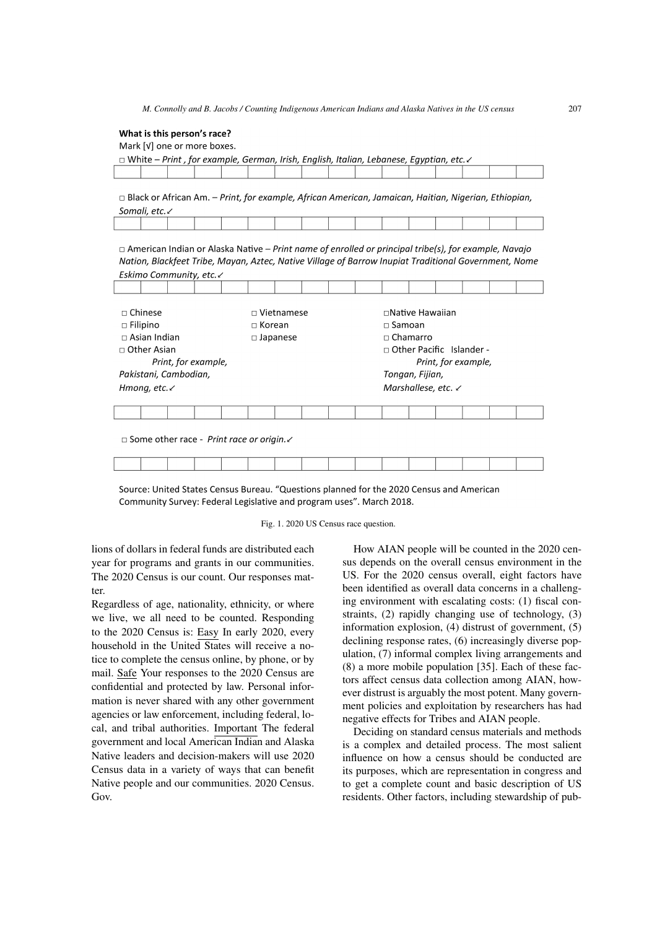|                        |               |  | What is this person's race?                           |  |                              |                        |                            |  |  |                                                                                                             |  |  |  |  |  |
|------------------------|---------------|--|-------------------------------------------------------|--|------------------------------|------------------------|----------------------------|--|--|-------------------------------------------------------------------------------------------------------------|--|--|--|--|--|
|                        |               |  | Mark [v] one or more boxes.                           |  |                              |                        |                            |  |  |                                                                                                             |  |  |  |  |  |
|                        |               |  |                                                       |  |                              |                        |                            |  |  | $\Box$ White – Print , for example, German, Irish, English, Italian, Lebanese, Egyptian, etc. $\angle$      |  |  |  |  |  |
|                        |               |  |                                                       |  |                              |                        |                            |  |  |                                                                                                             |  |  |  |  |  |
|                        |               |  |                                                       |  |                              |                        |                            |  |  |                                                                                                             |  |  |  |  |  |
|                        |               |  |                                                       |  |                              |                        |                            |  |  | $\Box$ Black or African Am. – Print, for example, African American, Jamaican, Haitian, Nigerian, Ethiopian, |  |  |  |  |  |
|                        | Somali, etc.∠ |  |                                                       |  |                              |                        |                            |  |  |                                                                                                             |  |  |  |  |  |
|                        |               |  |                                                       |  |                              |                        |                            |  |  |                                                                                                             |  |  |  |  |  |
|                        |               |  |                                                       |  |                              |                        |                            |  |  |                                                                                                             |  |  |  |  |  |
|                        |               |  |                                                       |  |                              |                        |                            |  |  | $\Box$ American Indian or Alaska Native – Print name of enrolled or principal tribe(s), for example, Navajo |  |  |  |  |  |
|                        |               |  |                                                       |  |                              |                        |                            |  |  | Nation, Blackfeet Tribe, Mayan, Aztec, Native Village of Barrow Inupiat Traditional Government, Nome        |  |  |  |  |  |
|                        |               |  | Eskimo Community, etc.∠                               |  |                              |                        |                            |  |  |                                                                                                             |  |  |  |  |  |
|                        |               |  |                                                       |  |                              |                        |                            |  |  |                                                                                                             |  |  |  |  |  |
|                        |               |  |                                                       |  |                              |                        |                            |  |  |                                                                                                             |  |  |  |  |  |
| □ Chinese              |               |  | $\Box$ Vietnamese                                     |  |                              | $\Box$ Native Hawaiian |                            |  |  |                                                                                                             |  |  |  |  |  |
| $\Box$ Filipino        |               |  | $\Box$ Korean                                         |  |                              |                        | $\square$ Samoan           |  |  |                                                                                                             |  |  |  |  |  |
| $\Box$ Asian Indian    |               |  | $\Box$ Japanese                                       |  |                              |                        | $\sqcap$ Chamarro          |  |  |                                                                                                             |  |  |  |  |  |
| $\Box$ Other Asian     |               |  |                                                       |  |                              |                        | □ Other Pacific Islander - |  |  |                                                                                                             |  |  |  |  |  |
| Print, for example,    |               |  |                                                       |  |                              |                        | Print, for example,        |  |  |                                                                                                             |  |  |  |  |  |
| Pakistani, Cambodian,  |               |  |                                                       |  |                              |                        | Tongan, Fijian,            |  |  |                                                                                                             |  |  |  |  |  |
| Hmong, etc. $\swarrow$ |               |  |                                                       |  | Marshallese, etc. $\swarrow$ |                        |                            |  |  |                                                                                                             |  |  |  |  |  |
|                        |               |  |                                                       |  |                              |                        |                            |  |  |                                                                                                             |  |  |  |  |  |
|                        |               |  |                                                       |  |                              |                        |                            |  |  |                                                                                                             |  |  |  |  |  |
|                        |               |  |                                                       |  |                              |                        |                            |  |  |                                                                                                             |  |  |  |  |  |
|                        |               |  | $\Box$ Some other race - <i>Print race or origin.</i> |  |                              |                        |                            |  |  |                                                                                                             |  |  |  |  |  |
|                        |               |  |                                                       |  |                              |                        |                            |  |  |                                                                                                             |  |  |  |  |  |
|                        |               |  |                                                       |  |                              |                        |                            |  |  |                                                                                                             |  |  |  |  |  |

Source: United States Census Bureau. "Questions planned for the 2020 Census and American Community Survey: Federal Legislative and program uses". March 2018.

<span id="page-6-0"></span>Fig. 1. 2020 US Census race question.

lions of dollars in federal funds are distributed each year for programs and grants in our communities. The 2020 Census is our count. Our responses matter.

Regardless of age, nationality, ethnicity, or where we live, we all need to be counted. Responding to the 2020 Census is: Easy In early 2020, every household in the United States will receive a notice to complete the census online, by phone, or by mail. Safe Your responses to the 2020 Census are confidential and protected by law. Personal information is never shared with any other government agencies or law enforcement, including federal, local, and tribal authorities. Important The federal government and local American Indian and Alaska Native leaders and decision-makers will use 2020 Census data in a variety of ways that can benefit Native people and our communities. 2020 Census. Gov.

How AIAN people will be counted in the 2020 census depends on the overall census environment in the US. For the 2020 census overall, eight factors have been identified as overall data concerns in a challenging environment with escalating costs: (1) fiscal constraints, (2) rapidly changing use of technology, (3) information explosion, (4) distrust of government, (5) declining response rates, (6) increasingly diverse population, (7) informal complex living arrangements and (8) a more mobile population [\[35\]](#page-8-32). Each of these factors affect census data collection among AIAN, however distrust is arguably the most potent. Many government policies and exploitation by researchers has had negative effects for Tribes and AIAN people.

Deciding on standard census materials and methods is a complex and detailed process. The most salient influence on how a census should be conducted are its purposes, which are representation in congress and to get a complete count and basic description of US residents. Other factors, including stewardship of pub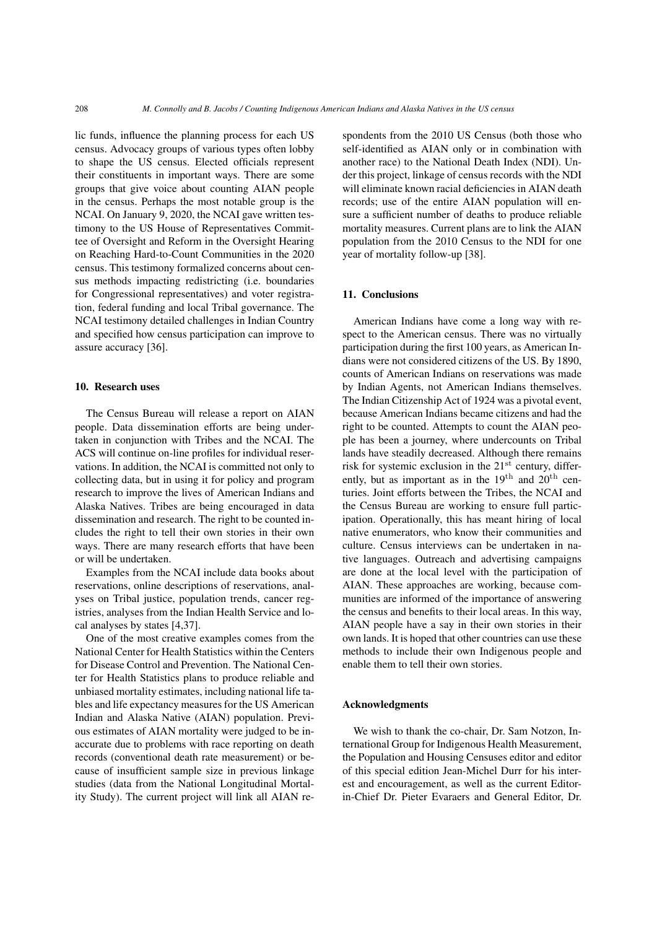lic funds, influence the planning process for each US census. Advocacy groups of various types often lobby to shape the US census. Elected officials represent their constituents in important ways. There are some groups that give voice about counting AIAN people in the census. Perhaps the most notable group is the NCAI. On January 9, 2020, the NCAI gave written testimony to the US House of Representatives Committee of Oversight and Reform in the Oversight Hearing on Reaching Hard-to-Count Communities in the 2020 census. This testimony formalized concerns about census methods impacting redistricting (i.e. boundaries for Congressional representatives) and voter registration, federal funding and local Tribal governance. The NCAI testimony detailed challenges in Indian Country and specified how census participation can improve to assure accuracy [\[36\]](#page-9-0).

# 10. Research uses

The Census Bureau will release a report on AIAN people. Data dissemination efforts are being undertaken in conjunction with Tribes and the NCAI. The ACS will continue on-line profiles for individual reservations. In addition, the NCAI is committed not only to collecting data, but in using it for policy and program research to improve the lives of American Indians and Alaska Natives. Tribes are being encouraged in data dissemination and research. The right to be counted includes the right to tell their own stories in their own ways. There are many research efforts that have been or will be undertaken.

Examples from the NCAI include data books about reservations, online descriptions of reservations, analyses on Tribal justice, population trends, cancer registries, analyses from the Indian Health Service and local analyses by states [\[4](#page-8-3)[,37\]](#page-9-1).

One of the most creative examples comes from the National Center for Health Statistics within the Centers for Disease Control and Prevention. The National Center for Health Statistics plans to produce reliable and unbiased mortality estimates, including national life tables and life expectancy measures for the US American Indian and Alaska Native (AIAN) population. Previous estimates of AIAN mortality were judged to be inaccurate due to problems with race reporting on death records (conventional death rate measurement) or because of insufficient sample size in previous linkage studies (data from the National Longitudinal Mortality Study). The current project will link all AIAN respondents from the 2010 US Census (both those who self-identified as AIAN only or in combination with another race) to the National Death Index (NDI). Under this project, linkage of census records with the NDI will eliminate known racial deficiencies in AIAN death records; use of the entire AIAN population will ensure a sufficient number of deaths to produce reliable mortality measures. Current plans are to link the AIAN population from the 2010 Census to the NDI for one year of mortality follow-up [\[38\]](#page-9-2).

## 11. Conclusions

American Indians have come a long way with respect to the American census. There was no virtually participation during the first 100 years, as American Indians were not considered citizens of the US. By 1890, counts of American Indians on reservations was made by Indian Agents, not American Indians themselves. The Indian Citizenship Act of 1924 was a pivotal event, because American Indians became citizens and had the right to be counted. Attempts to count the AIAN people has been a journey, where undercounts on Tribal lands have steadily decreased. Although there remains risk for systemic exclusion in the 21st century, differently, but as important as in the  $19<sup>th</sup>$  and  $20<sup>th</sup>$  centuries. Joint efforts between the Tribes, the NCAI and the Census Bureau are working to ensure full participation. Operationally, this has meant hiring of local native enumerators, who know their communities and culture. Census interviews can be undertaken in native languages. Outreach and advertising campaigns are done at the local level with the participation of AIAN. These approaches are working, because communities are informed of the importance of answering the census and benefits to their local areas. In this way, AIAN people have a say in their own stories in their own lands. It is hoped that other countries can use these methods to include their own Indigenous people and enable them to tell their own stories.

# Acknowledgments

We wish to thank the co-chair, Dr. Sam Notzon, International Group for Indigenous Health Measurement, the Population and Housing Censuses editor and editor of this special edition Jean-Michel Durr for his interest and encouragement, as well as the current Editorin-Chief Dr. Pieter Evaraers and General Editor, Dr.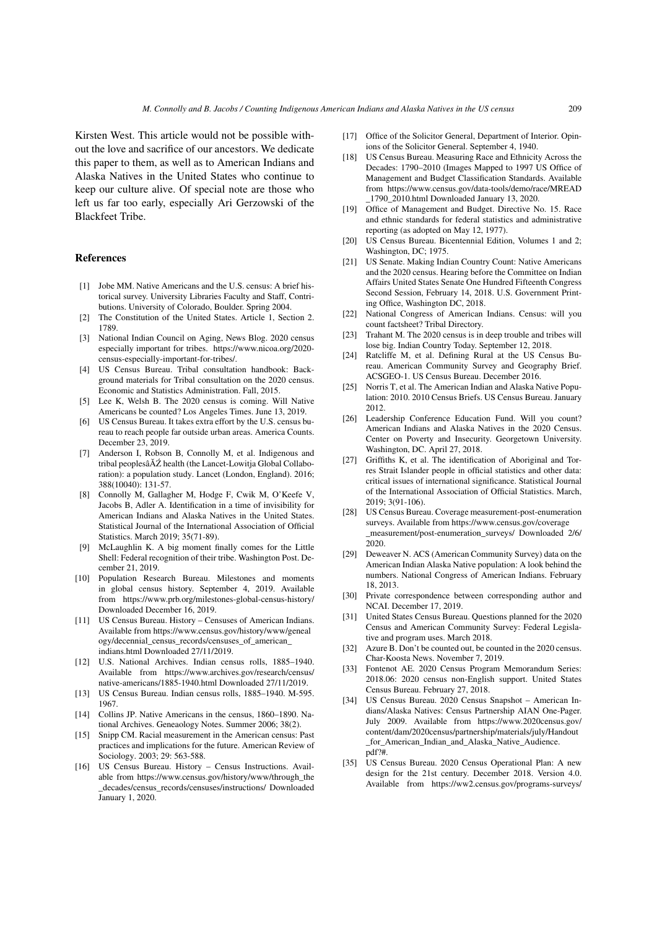Kirsten West. This article would not be possible without the love and sacrifice of our ancestors. We dedicate this paper to them, as well as to American Indians and Alaska Natives in the United States who continue to keep our culture alive. Of special note are those who left us far too early, especially Ari Gerzowski of the Blackfeet Tribe.

## References

- <span id="page-8-0"></span>[1] Jobe MM. Native Americans and the U.S. census: A brief historical survey. University Libraries Faculty and Staff, Contributions. University of Colorado, Boulder. Spring 2004.
- <span id="page-8-1"></span>[2] The Constitution of the United States. Article 1, Section 2. 1789.
- <span id="page-8-2"></span>[3] National Indian Council on Aging, News Blog. 2020 census especially important for tribes. https://www.nicoa.org/2020 census-especially-important-for-tribes/.
- <span id="page-8-3"></span>[4] US Census Bureau. Tribal consultation handbook: Background materials for Tribal consultation on the 2020 census. Economic and Statistics Administration. Fall, 2015.
- <span id="page-8-4"></span>[5] Lee K, Welsh B. The 2020 census is coming. Will Native Americans be counted? Los Angeles Times. June 13, 2019.
- <span id="page-8-5"></span>[6] US Census Bureau. It takes extra effort by the U.S. census bureau to reach people far outside urban areas. America Counts. December 23, 2019.
- <span id="page-8-6"></span>[7] Anderson I, Robson B, Connolly M, et al. Indigenous and tribal peoplesâ $\tilde{A}\tilde{Z}$  health (the Lancet-Lowitja Global Collaboration): a population study. Lancet (London, England). 2016; 388(10040): 131-57.
- <span id="page-8-7"></span>[8] Connolly M, Gallagher M, Hodge F, Cwik M, O'Keefe V, Jacobs B, Adler A. Identification in a time of invisibility for American Indians and Alaska Natives in the United States. Statistical Journal of the International Association of Official Statistics. March 2019; 35(71-89).
- <span id="page-8-8"></span>[9] McLaughlin K. A big moment finally comes for the Little Shell: Federal recognition of their tribe. Washington Post. December 21, 2019.
- <span id="page-8-9"></span>[10] Population Research Bureau. Milestones and moments in global census history. September 4, 2019. Available from https://www.prb.org/milestones-global-census-history/ Downloaded December 16, 2019.
- <span id="page-8-10"></span>[11] US Census Bureau. History – Censuses of American Indians. Available from https://www.census.gov/history/www/geneal ogy/decennial\_census\_records/censuses\_of\_american\_ indians.html Downloaded 27/11/2019.
- <span id="page-8-13"></span>[12] U.S. National Archives. Indian census rolls, 1885-1940. Available from https://www.archives.gov/research/census/ native-americans/1885-1940.html Downloaded 27/11/2019.
- <span id="page-8-12"></span>[13] US Census Bureau. Indian census rolls, 1885–1940. M-595. 1967.
- [14] Collins JP. Native Americans in the census, 1860–1890. National Archives. Geneaology Notes. Summer 2006; 38(2).
- <span id="page-8-11"></span>[15] Snipp CM. Racial measurement in the American census: Past practices and implications for the future. American Review of Sociology. 2003; 29: 563-588.
- [16] US Census Bureau. History Census Instructions. Available from https://www.census.gov/history/www/through\_the \_decades/census\_records/censuses/instructions/ Downloaded January 1, 2020.
- <span id="page-8-14"></span>[17] Office of the Solicitor General, Department of Interior. Opinions of the Solicitor General. September 4, 1940.
- <span id="page-8-15"></span>[18] US Census Bureau. Measuring Race and Ethnicity Across the Decades: 1790–2010 (Images Mapped to 1997 US Office of Management and Budget Classification Standards. Available from https://www.census.gov/data-tools/demo/race/MREAD \_1790\_2010.html Downloaded January 13, 2020.
- <span id="page-8-16"></span>[19] Office of Management and Budget. Directive No. 15. Race and ethnic standards for federal statistics and administrative reporting (as adopted on May 12, 1977).
- <span id="page-8-17"></span>[20] US Census Bureau. Bicentennial Edition, Volumes 1 and 2; Washington, DC; 1975.
- <span id="page-8-18"></span>[21] US Senate. Making Indian Country Count: Native Americans and the 2020 census. Hearing before the Committee on Indian Affairs United States Senate One Hundred Fifteenth Congress Second Session, February 14, 2018. U.S. Government Printing Office, Washington DC, 2018.
- <span id="page-8-19"></span>[22] National Congress of American Indians. Census: will you count factsheet? Tribal Directory.
- <span id="page-8-20"></span>[23] Trahant M. The 2020 census is in deep trouble and tribes will lose big. Indian Country Today. September 12, 2018.
- <span id="page-8-21"></span>[24] Ratcliffe M, et al. Defining Rural at the US Census Bureau. American Community Survey and Geography Brief. ACSGEO-1. US Census Bureau. December 2016.
- <span id="page-8-22"></span>[25] Norris T, et al. The American Indian and Alaska Native Population: 2010. 2010 Census Briefs. US Census Bureau. January 2012.
- <span id="page-8-23"></span>[26] Leadership Conference Education Fund. Will you count? American Indians and Alaska Natives in the 2020 Census. Center on Poverty and Insecurity. Georgetown University. Washington, DC. April 27, 2018.
- <span id="page-8-24"></span>[27] Griffiths K, et al. The identification of Aboriginal and Torres Strait Islander people in official statistics and other data: critical issues of international significance. Statistical Journal of the International Association of Official Statistics. March, 2019; 3(91-106).
- <span id="page-8-25"></span>[28] US Census Bureau. Coverage measurement-post-enumeration surveys. Available from https://www.census.gov/coverage \_measurement/post-enumeration\_surveys/ Downloaded 2/6/ 2020.
- <span id="page-8-26"></span>[29] Deweaver N. ACS (American Community Survey) data on the American Indian Alaska Native population: A look behind the numbers. National Congress of American Indians. February 18, 2013.
- <span id="page-8-27"></span>[30] Private correspondence between corresponding author and NCAI. December 17, 2019.
- <span id="page-8-28"></span>[31] United States Census Bureau. Questions planned for the 2020 Census and American Community Survey: Federal Legislative and program uses. March 2018.
- <span id="page-8-29"></span>[32] Azure B. Don't be counted out, be counted in the 2020 census. Char-Koosta News. November 7, 2019.
- <span id="page-8-30"></span>[33] Fontenot AE. 2020 Census Program Memorandum Series: 2018.06: 2020 census non-English support. United States Census Bureau. February 27, 2018.
- <span id="page-8-31"></span>[34] US Census Bureau. 2020 Census Snapshot – American Indians/Alaska Natives: Census Partnership AIAN One-Pager. July 2009. Available from https://www.2020census.gov/ content/dam/2020census/partnership/materials/july/Handout \_for\_American\_Indian\_and\_Alaska\_Native\_Audience. pdf?#.
- <span id="page-8-32"></span>[35] US Census Bureau. 2020 Census Operational Plan: A new design for the 21st century. December 2018. Version 4.0. Available from https://ww2.census.gov/programs-surveys/